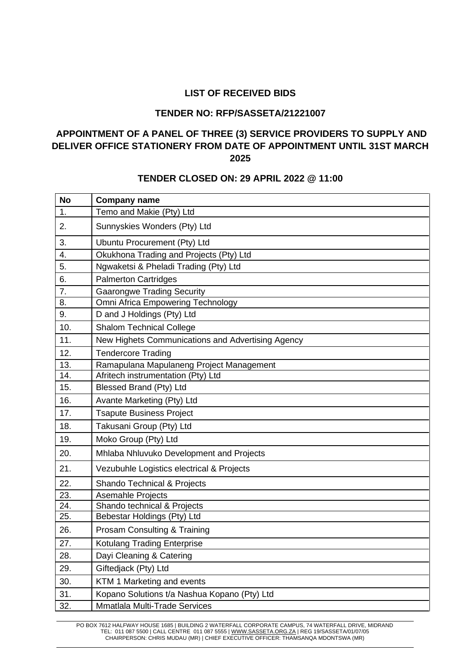## **LIST OF RECEIVED BIDS**

## **TENDER NO: RFP/SASSETA/21221007**

## **APPOINTMENT OF A PANEL OF THREE (3) SERVICE PROVIDERS TO SUPPLY AND DELIVER OFFICE STATIONERY FROM DATE OF APPOINTMENT UNTIL 31ST MARCH 2025**

## **TENDER CLOSED ON: 29 APRIL 2022 @ 11:00**

| <b>No</b> | <b>Company name</b>                               |
|-----------|---------------------------------------------------|
| 1.        | Temo and Makie (Pty) Ltd                          |
| 2.        | Sunnyskies Wonders (Pty) Ltd                      |
| 3.        | Ubuntu Procurement (Pty) Ltd                      |
| 4.        | Okukhona Trading and Projects (Pty) Ltd           |
| 5.        | Ngwaketsi & Pheladi Trading (Pty) Ltd             |
| 6.        | <b>Palmerton Cartridges</b>                       |
| 7.        | <b>Gaarongwe Trading Security</b>                 |
| 8.        | Omni Africa Empowering Technology                 |
| 9.        | D and J Holdings (Pty) Ltd                        |
| 10.       | <b>Shalom Technical College</b>                   |
| 11.       | New Highets Communications and Advertising Agency |
| 12.       | <b>Tendercore Trading</b>                         |
| 13.       | Ramapulana Mapulaneng Project Management          |
| 14.       | Afritech instrumentation (Pty) Ltd                |
| 15.       | Blessed Brand (Pty) Ltd                           |
| 16.       | Avante Marketing (Pty) Ltd                        |
| 17.       | <b>Tsapute Business Project</b>                   |
| 18.       | Takusani Group (Pty) Ltd                          |
| 19.       | Moko Group (Pty) Ltd                              |
| 20.       | Mhlaba Nhluvuko Development and Projects          |
| 21.       | Vezubuhle Logistics electrical & Projects         |
| 22.       | <b>Shando Technical &amp; Projects</b>            |
| 23.       | Asemahle Projects                                 |
| 24.       | Shando technical & Projects                       |
| 25.       | Bebestar Holdings (Pty) Ltd                       |
| 26.       | Prosam Consulting & Training                      |
| 27.       | Kotulang Trading Enterprise                       |
| 28.       | Dayi Cleaning & Catering                          |
| 29.       | Giftedjack (Pty) Ltd                              |
| 30.       | KTM 1 Marketing and events                        |
| 31.       | Kopano Solutions t/a Nashua Kopano (Pty) Ltd      |
| 32.       | Mmatlala Multi-Trade Services                     |

PO BOX 7612 HALFWAY HOUSE 1685 | BUILDING 2 WATERFALL CORPORATE CAMPUS, 74 WATERFALL DRIVE, MIDRAND TEL: 011 087 5500 | CALL CENTRE 011 087 5555 | [WWW.SASSETA.ORG.ZA](http://www.sasseta.org.za/) | REG 19/SASSETA/01/07/05 CHAIRPERSON: CHRIS MUDAU (MR) | CHIEF EXECUTIVE OFFICER: THAMSANQA MDONTSWA (MR)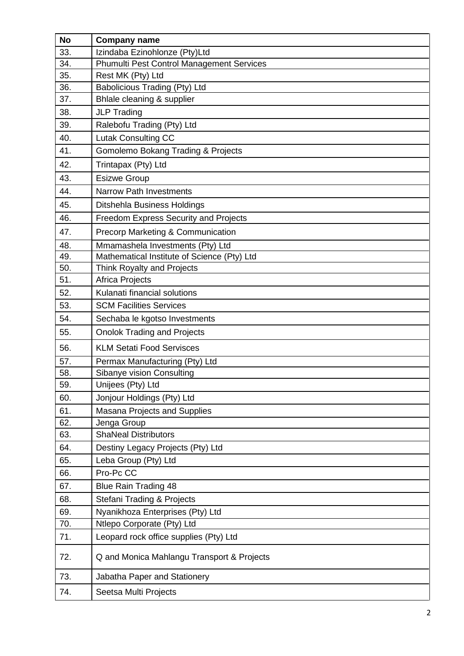| <b>No</b> | <b>Company name</b>                         |
|-----------|---------------------------------------------|
| 33.       | Izindaba Ezinohlonze (Pty)Ltd               |
| 34.       | Phumulti Pest Control Management Services   |
| 35.       | Rest MK (Pty) Ltd                           |
| 36.       | Babolicious Trading (Pty) Ltd               |
| 37.       | Bhlale cleaning & supplier                  |
| 38.       | <b>JLP Trading</b>                          |
| 39.       | Ralebofu Trading (Pty) Ltd                  |
| 40.       | <b>Lutak Consulting CC</b>                  |
| 41.       | Gomolemo Bokang Trading & Projects          |
| 42.       | Trintapax (Pty) Ltd                         |
| 43.       | <b>Esizwe Group</b>                         |
| 44.       | <b>Narrow Path Investments</b>              |
| 45.       | Ditshehla Business Holdings                 |
| 46.       | Freedom Express Security and Projects       |
| 47.       | Precorp Marketing & Communication           |
| 48.       | Mmamashela Investments (Pty) Ltd            |
| 49.       | Mathematical Institute of Science (Pty) Ltd |
| 50.       | Think Royalty and Projects                  |
| 51.       | Africa Projects                             |
| 52.       | Kulanati financial solutions                |
| 53.       | <b>SCM Facilities Services</b>              |
| 54.       | Sechaba le kgotso Investments               |
| 55.       | <b>Onolok Trading and Projects</b>          |
| 56.       | <b>KLM Setati Food Servisces</b>            |
| 57.       | Permax Manufacturing (Pty) Ltd              |
| 58.       | Sibanye vision Consulting                   |
| 59.       | Unijees (Pty) Ltd                           |
| 60.       | Jonjour Holdings (Pty) Ltd                  |
| 61.       | Masana Projects and Supplies                |
| 62.       | Jenga Group                                 |
| 63.       | <b>ShaNeal Distributors</b>                 |
| 64.       | Destiny Legacy Projects (Pty) Ltd           |
| 65.       | Leba Group (Pty) Ltd                        |
| 66.       | Pro-Pc CC                                   |
| 67.       | <b>Blue Rain Trading 48</b>                 |
| 68.       | Stefani Trading & Projects                  |
| 69.       | Nyanikhoza Enterprises (Pty) Ltd            |
| 70.       | Ntlepo Corporate (Pty) Ltd                  |
| 71.       | Leopard rock office supplies (Pty) Ltd      |
| 72.       | Q and Monica Mahlangu Transport & Projects  |
| 73.       | Jabatha Paper and Stationery                |
| 74.       | Seetsa Multi Projects                       |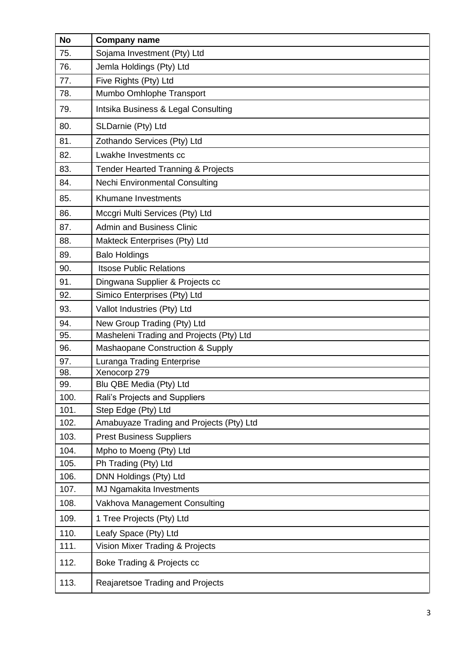| <b>No</b>    | <b>Company name</b>                                  |
|--------------|------------------------------------------------------|
| 75.          | Sojama Investment (Pty) Ltd                          |
| 76.          | Jemla Holdings (Pty) Ltd                             |
| 77.          | Five Rights (Pty) Ltd                                |
| 78.          | Mumbo Omhlophe Transport                             |
| 79.          | Intsika Business & Legal Consulting                  |
| 80.          | SLDarnie (Pty) Ltd                                   |
| 81.          | Zothando Services (Pty) Ltd                          |
| 82.          | Lwakhe Investments cc                                |
| 83.          | <b>Tender Hearted Tranning &amp; Projects</b>        |
| 84.          | <b>Nechi Environmental Consulting</b>                |
| 85.          | Khumane Investments                                  |
| 86.          | Mccgri Multi Services (Pty) Ltd                      |
| 87.          | <b>Admin and Business Clinic</b>                     |
| 88.          | Makteck Enterprises (Pty) Ltd                        |
| 89.          | <b>Balo Holdings</b>                                 |
| 90.          | <b>Itsose Public Relations</b>                       |
| 91.          | Dingwana Supplier & Projects cc                      |
| 92.          | Simico Enterprises (Pty) Ltd                         |
| 93.          | Vallot Industries (Pty) Ltd                          |
| 94.          | New Group Trading (Pty) Ltd                          |
| 95.          | Masheleni Trading and Projects (Pty) Ltd             |
| 96.          | Mashaopane Construction & Supply                     |
| 97.          | <b>Luranga Trading Enterprise</b>                    |
| 98.          | Xenocorp 279                                         |
| 99.          | Blu QBE Media (Pty) Ltd                              |
| 100.<br>101. | Rali's Projects and Suppliers<br>Step Edge (Pty) Ltd |
| 102.         | Amabuyaze Trading and Projects (Pty) Ltd             |
| 103.         | <b>Prest Business Suppliers</b>                      |
| 104.         | Mpho to Moeng (Pty) Ltd                              |
| 105.         | Ph Trading (Pty) Ltd                                 |
| 106.         | DNN Holdings (Pty) Ltd                               |
| 107.         | MJ Ngamakita Investments                             |
| 108.         | Vakhova Management Consulting                        |
| 109.         | 1 Tree Projects (Pty) Ltd                            |
| 110.         | Leafy Space (Pty) Ltd                                |
| 111.         | Vision Mixer Trading & Projects                      |
| 112.         | Boke Trading & Projects cc                           |
| 113.         | Reajaretsoe Trading and Projects                     |